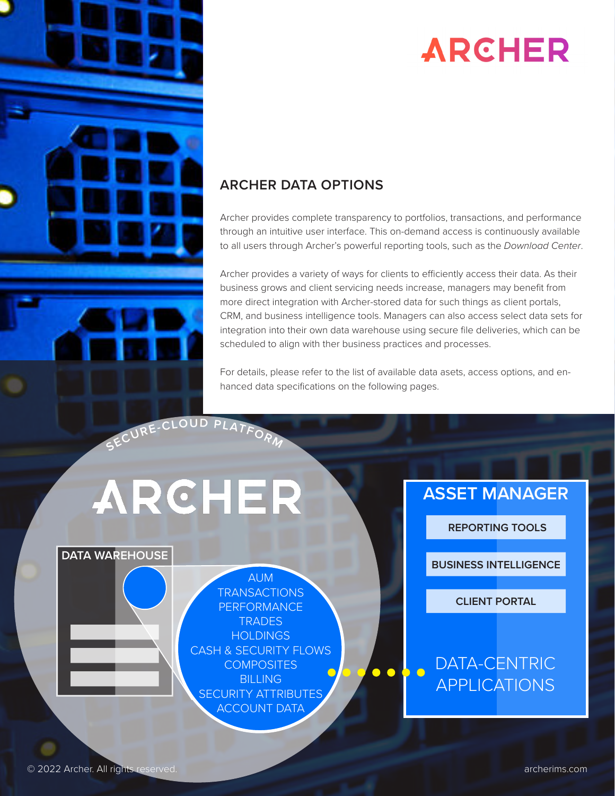

## **ARCHER**

#### **ARCHER DATA OPTIONS**

Archer provides complete transparency to portfolios, transactions, and performance through an intuitive user interface. This on-demand access is continuously available to all users through Archer's powerful reporting tools, such as the *[Download Center](https://www.archerims.com/media/Download_Center_Business_Insights.pdf)*.

Archer provides a variety of ways for clients to efficiently access their data. As their business grows and client servicing needs increase, managers may benefit from more direct integration with Archer-stored data for such things as client portals, CRM, and business intelligence tools. Managers can also access select data sets for integration into their own data warehouse using secure file deliveries, which can be scheduled to align with ther business practices and processes.

For details, please refer to the list of available data asets, access options, and enhanced data specifications on the following pages.

# ARCHER

#### **DATA WAREHOUSE**

AUM **TRANSACTIONS** PERFORMANCE **TRADES HOLDINGS** CASH & SECURITY FLOWS **COMPOSITES** BILLING SECURITY ATTRIBUTES ACCOUNT DATA

### **ASSET MANAGER**

 **REPORTING TOOLS**

**BUSINESS INTELLIGENCE**

**CLIENT PORTAL**

### DATA-CENTRIC APPLICATIONS